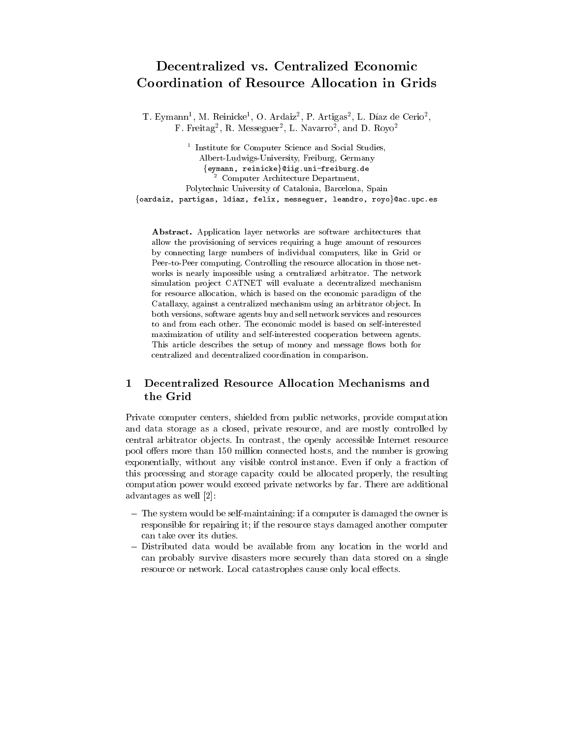# Decentralized vs. Centralized Economic **Coordination of Resource Allocation in Grids**

I. Eymann, M. Reimcke, O. Ardaiz, P. Artigas, L. Diaz de Cerio, F Freitag R Messeguer L Navarro and D Royo

 $\,$  - Institute for Computer Science and Social Studies,  $\,$ Albert-Ludwigs-University, Freiburg, Germany {eymann, reinicke}@iig.uni-freiburg.de - Computer Architecture Department, Polytechnic University of Catalonia, Barcelona, Spain  $\{\mathtt{oardaiz, partigas, Idiaz, felix, messageuer, leandro, royo}\}$ @ac.upc.es

Abstract. Application layer networks are software architectures that allow the provisioning of services requiring a huge amount of resources by connecting large numbers of individual computers like in Grid or PeertoPeer computing- Controlling the resource allocation in those net works is nearly impossible using a centralized arbitrator-component arbitratorsimulation project CATNET will evaluate a decentralized mechanism for resource allocation, which is based on the economic paradigm of the Catallaxy against a centralized mechanism using an arbitrator ob ject- In both versions, software agents buy and sell network services and resources maximization of utility and self-interested cooperation between agents. This article describes the setup of money and message flows both for centralized and decentralized coordination in comparison-

## $\mathbf{1}$ Decentralized Resource Allocation Mechanisms and

Private computer centers, shielded from public networks, provide computation and data storage as a closed, private resource, and are mostly controlled by central arbitrator objects. In contrast, the openly accessible Internet resource pool offers more than 150 million connected hosts, and the number is growing exponentially, without any visible control instance. Even if only a fraction of this processing and storage capacity could be allocated properly the resulting computation power would exceed private networks by far There are additional advantages as well 

- $-$  The system would be self-maintaining: if a computer is damaged the owner is responsible for repairing it
if the resource stays damaged another computer can take over its duties.
- Distributed data would be available from any location in the world and can probably survive disasters more securely than data stored on a single resource or network. Local catastrophes cause only local effects.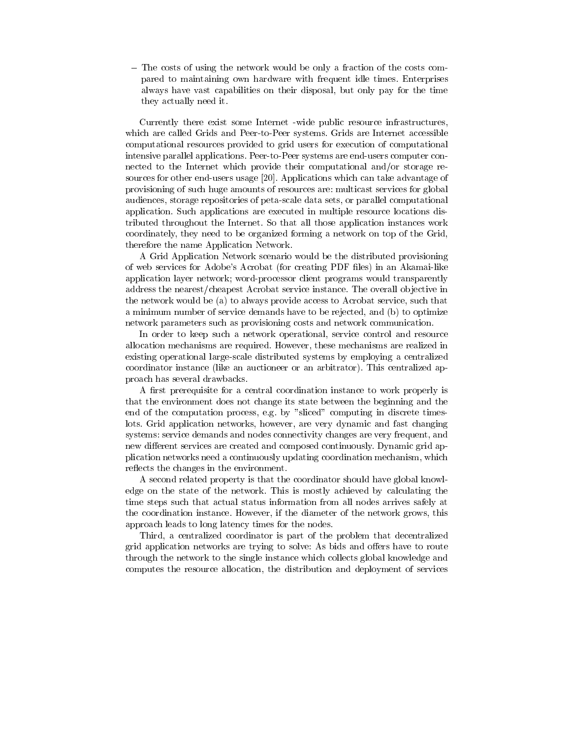$-$  The costs of using the network would be only a fraction of the costs compared to maintaining own hardware with frequent idle times Enterprises always have vast capabilities on their disposal, but only pay for the time they actually need it

Currently there exist some Internet -wide public resource infrastructures, which are called Grids and Peer-to-Peer systems. Grids are Internet accessible computational resources provided to grid users for execution of computational intensive parallel applications. Peer-to-Peer systems are end-users computer connected to the Internet which provide their computational and/or storage resources for other ends which can take advantage of  $\mathbf{A}$ provisioning of such huge amounts of resources are multicast services for global audiences, storage repositories of peta-scale data sets, or parallel computational application Such applications are executed in multiple resource locations dis tributed throughout the Internet So that all those application instances work coordinately they need to be organized forming a network on top of the Grid therefore the name Application Network

A Grid Application Network scenario would be the distributed provisioning of web services for Adobe's Acrobat (for creating PDF files) in an Akamai-like application layer network; word-processor client programs would transparently address the nearest/cheapest Acrobat service instance. The overall objective in the network would be (a) to always provide access to Acrobat service, such that a minimum number of service demands have to be rejected, and (b) to optimize network parameters such as provisioning costs and network communication

In order to keep such a network operational, service control and resource allocation mechanisms are required. However, these mechanisms are realized in existing operational large-scale distributed systems by employing a centralized coordinator instance (like an auctioneer or an arbitrator). This centralized approach has several drawbacks

A first prerequisite for a central coordination instance to work properly is that the environment does not change its state between the beginning and the end of the computation process, e.g. by "sliced" computing in discrete timeslots. Grid application networks, however, are very dynamic and fast changing systems: service demands and nodes connectivity changes are very frequent, and new different services are created and composed continuously. Dynamic grid application networks need a continuously updating coordination mechanism, which reflects the changes in the environment.

A second related property is that the coordinator should have global knowl edge on the state of the network This is mostly achieved by calculating the time steps such that actual status information from all nodes arrives safely at the coordination instance. However, if the diameter of the network grows, this approach leads to long latency times for the nodes

Third, a centralized coordinator is part of the problem that decentralized grid application networks are trying to solve: As bids and offers have to route through the network to the single instance which collects global knowledge and computes the resource allocation, the distribution and deployment of services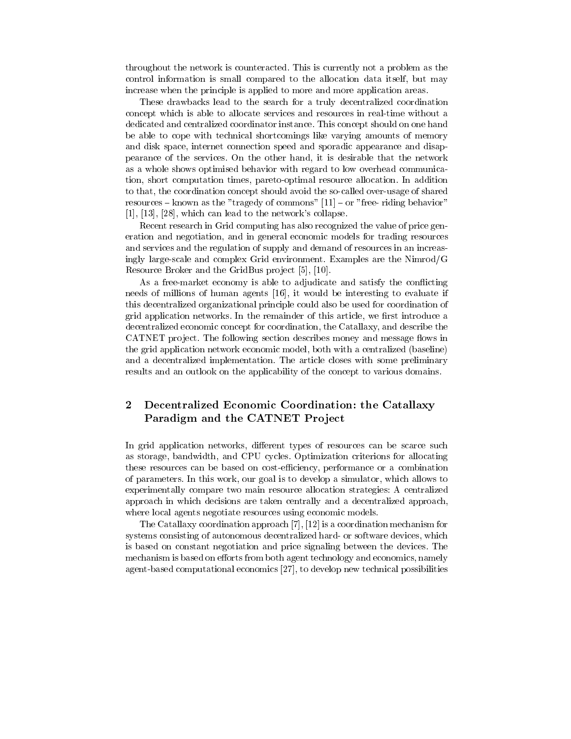throughout the network is counteracted This is currently not a problem as the control information is small compared to the allocation data itself, but may increase when the principle is applied to more and more application areas

These drawbacks lead to the search for a truly decentralized coordination concept which is able to allocate services and resources in realtime without a dedicated and centralized coordinator instance This concept should on one hand be able to cope with technical shortcomings like varying amounts of memory and disk space internet connection speed and sporadic appearance and disap pearance of the services On the other hand it is desirable that the network as a whole shows optimised behavior with regard to low overhead communica tion, short computation times, pareto-optimal resource allocation. In addition to that, the coordination concept should avoid the so-called over-usage of shared resources the transition of the transition  $\mathcal{A}$  . The transition of the transition of the transition of the transition of the transition of the transition of the transition of the transition of the transition of the tr which can lead to the networks collapse collapse collapse collapse collapse collapse collapse collapse collaps

Recent research in Grid computing has also recognized the value of price gen eration and negotiation, and in general economic models for trading resources and services and the regulation of supply and demand of resources in an increas ingly large-scale and complex Grid environment. Examples are the  $Nimrod/G$ Resource Broker and the GridBus pro ject

As a free-market economy is able to adjudicate and satisfy the conflicting needs of millions of millions agents proposed to an all the interesting to evaluate if this decentralized organizational principle could also be used for coordination of grid application networks. In the remainder of this article, we first introduce a decentralized economic concept for coordination, the Catallaxy, and describe the CATNET project. The following section describes money and message flows in the grid application network economic model, both with a centralized (baseline) and a decentralized implementation The article closes with some preliminary results and an outlook on the applicability of the concept to various domains

### $\overline{2}$  Decentralized Economic Coordination- the Catallaxy Paradigm and the CATNET Project

In grid application networks, different types of resources can be scarce such as storage, bandwidth, and CPU cycles. Optimization criterions for allocating these resources can be based on cost-efficiency, performance or a combination of parameters. In this work, our goal is to develop a simulator, which allows to experimentally compare two main resource allocation strategies A centralized approach in which decisions are taken centrally and a decentralized approach where local agents negotiate resources using economic models

 $\mathbf{r}$  coordination approach and  $\mathbf{r}$  and  $\mathbf{r}$  approach approach approach approach approach approach approach approach approach approach approach approach approach approach approach approach approach approach ap systems consisting of autonomous decentralized hard- or software devices, which is based on constant negotiation and price signaling between the devices The mechanism is based on efforts from both agent technology and economics, namely agence computational economics is developed to develop new technical possibilities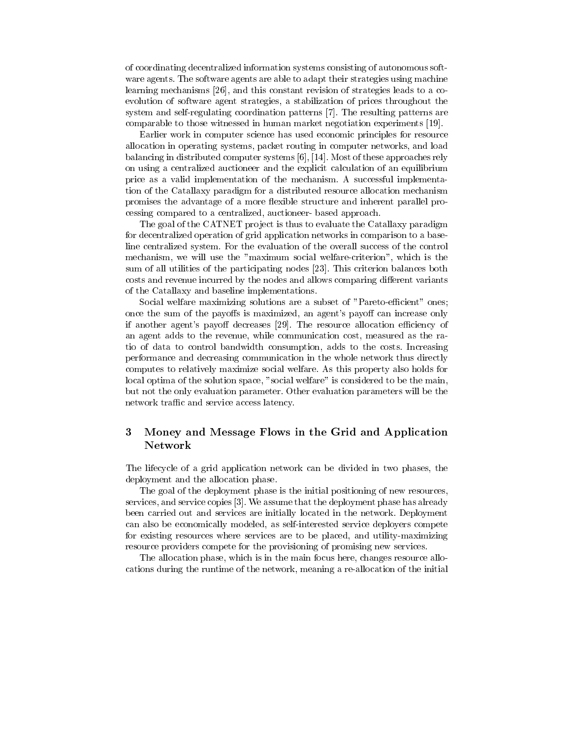of coordinating decentralized information systems consisting of autonomous soft ware agents. The software agents are able to adapt their strategies using machine learning mechanisms and this constant revision of strategies leads to a co evolution of software agent strategies, a stabilization of prices throughout the system and selfregulating coordination patterns The resulting patterns are comparable to those witnessed in human market negotiation experiments

Earlier work in computer science has used economic principles for resource allocation in operating systems, packet routing in computer networks, and load balancing in distributed computer systems population in distributed systems approaches rely. on using a centralized auctioneer and the explicit calculation of an equilibrium price as a valid implementation of the mechanism A successful implementa tion of the Catallaxy paradigm for a distributed resource allocation mechanism promises the advantage of a more flexible structure and inherent parallel processing compared to a centralized, auctioneer- based approach.

The goal of the CATNET project is thus to evaluate the Catallaxy paradigm for decentralized operation of grid application networks in comparison to a base line centralized system. For the evaluation of the overall success of the control mechanism, we will use the "maximum social welfare-criterion", which is the sum of all utilities of the participating nodes  $|z - \rho|$  is constructed balances both  $\sim$ costs and revenue incurred by the nodes and allows comparing different variants of the Catallaxy and baseline implementations

Social welfare maximizing solutions are a subset of "Pareto-efficient" ones; once the sum of the payoffs is maximized, an agent's payoff can increase only if and the resource allocation ecoes  $\mathbf{I}$  and  $\mathbf{I}$  are so that resource allocation ecoes  $\mathbf{I}$ an agent adds to the revenue, while communication cost, measured as the ratio of data to control bandwidth consumption adds to the costs Increasing performance and decreasing communication in the whole network thus directly computes to relatively maximize social welfare As this property also holds for local optima of the solution space, "social welfare" is considered to be the main, but not the only evaluation parameter Other evaluation parameters will be the network traffic and service access latency.

### Money and Message Flows in the Grid and Application Network

The lifecycle of a grid application network can be divided in two phases, the deployment and the allocation phase

The goal of the deployment phase is the initial positioning of new resources services and service copies We assume that the deployment phase has already been carried out and services are initially located in the network Deployment can also be economically modeled, as self-interested service deployers compete for existing resources where services are to be placed, and utility-maximizing resource providers compete for the provisioning of promising new services

The allocation phase, which is in the main focus here, changes resource allocations during the runtime of the network, meaning a re-allocation of the initial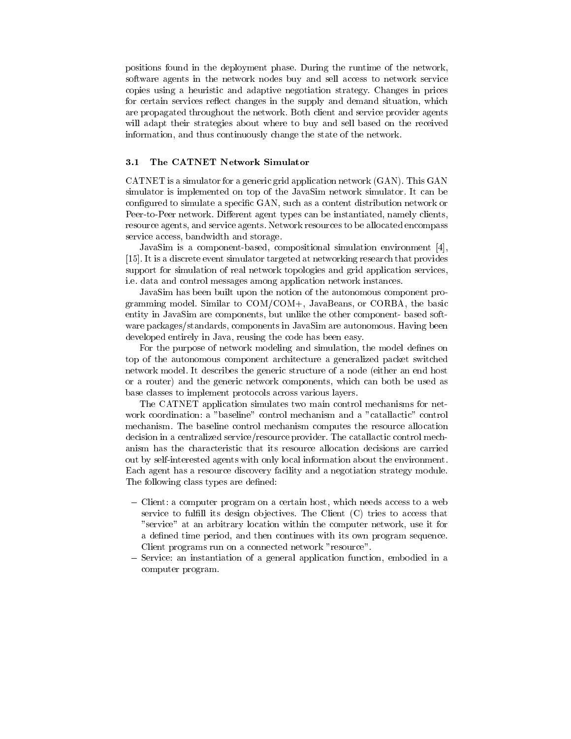positions found in the deployment phase During the runtime of the network software agents in the network nodes buy and sell access to network service copies using a heuristic and adaptive negotiation strategy Changes in prices for certain services reflect changes in the supply and demand situation, which are propagated throughout the network Both client and service provider agents will adapt their strategies about where to buy and sell based on the received information, and thus continuously change the state of the network.

#### $3.1$ The CATNET Network Simulator

CATNET is a simulator for a generic grid application network  $(GAN)$ . This  $GAN$ simulator is implemented on top of the JavaSim network simulator. It can be configured to simulate a specific GAN, such as a content distribution network or Peer-to-Peer network. Different agent types can be instantiated, namely clients, resource agents, and service agents. Network resources to be allocated encompass service access, bandwidth and storage.

JavaSim is a component component based components components and components in the component paper It is a discrete event simulator targeted at networking research that provides support for simulation of real network topologies and grid application services i.e. data and control messages among application network instances.

JavaSim has been built upon the notion of the autonomous component pro gramming model. Similar to  $COM/COM+$ , JavaBeans, or  $CORBA$ , the basic entity in JavaSim are components, but unlike the other component- based software packages/standards, components in JavaSim are autonomous. Having been developed entirely in Java, reusing the code has been easy.

For the purpose of network modeling and simulation, the model defines on top of the autonomous component architecture a generalized packet switched network model. It describes the generic structure of a node (either an end host or a router) and the generic network components, which can both be used as base classes to implement protocols across various layers

The CATNET application simulates two main control mechanisms for net work coordination: a "baseline" control mechanism and a "catallactic" control mechanism The baseline control mechanism computes the resource allocation decision in a centralized service/resource provider. The catallactic control mechanism has the characteristic that its resource allocation decisions are carried out by selfinterested agents with only local information about the environment Each agent has a resource discovery facility and a negotiation strategy module The following class types are defined:

- Client: a computer program on a certain host, which needs access to a web service to fulfill its design objectives. The Client  $(C)$  tries to access that "service" at an arbitrary location within the computer network, use it for a defined time period, and then continues with its own program sequence. Client programs run on a connected network "resource".
- Service: an instantiation of a general application function, embodied in a computer program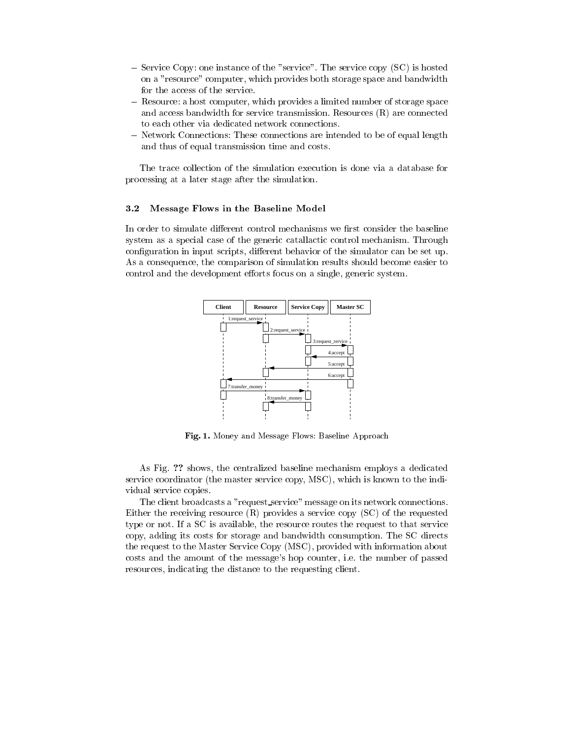- $-$  Service Copy: one instance of the "service". The service copy  $(SC)$  is hosted on a "resource" computer, which provides both storage space and bandwidth for the access of the service
- Resource: a host computer, which provides a limited number of storage space and access bandwidth for service transmission. Resources  $(R)$  are connected to each other via dedicated network connections
- Network Connections: These connections are intended to be of equal length and thus of equal transmission time and costs

The trace collection of the simulation execution is done via a database for processing at a later stage after the simulation

### 3.2 Message Flows in the Baseline Model

In order to simulate different control mechanisms we first consider the baseline system as a special case of the generic catallactic control mechanism. Through configuration in input scripts, different behavior of the simulator can be set up. As a consequence, the comparison of simulation results should become easier to control and the development efforts focus on a single, generic system.



Fig. 1. Money and Message Flows: Baseline Approach

As Fig. ?? shows, the centralized baseline mechanism employs a dedicated service coordinator (the master service copy,  $MSC$ ), which is known to the individual service copies

The client broadcasts a "request\_service" message on its network connections. Either the receiving resource  $(R)$  provides a service copy  $(SC)$  of the requested type or not. If a SC is available, the resource routes the request to that service copy adding its costs for storage and bandwidth consumption The SC directs the request to the Master Service Copy (MSC), provided with information about costs and the amount of the message's hop counter, i.e. the number of passed resources, indicating the distance to the requesting client.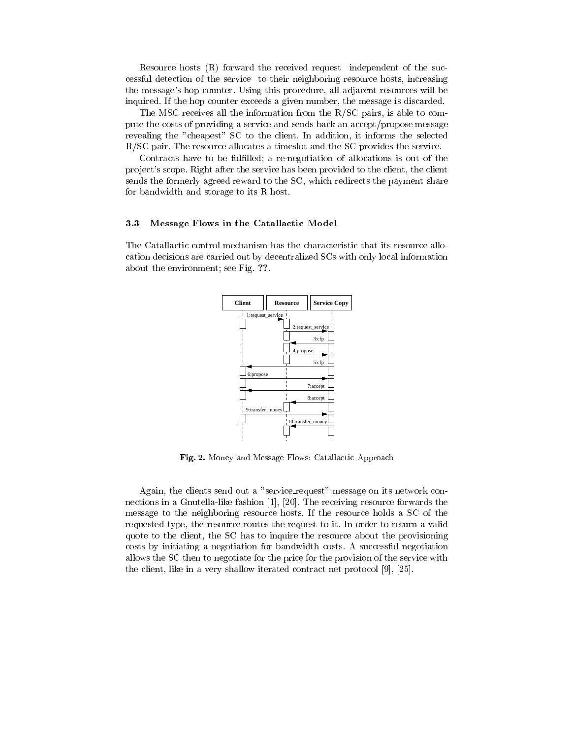Resource hosts  $(R)$  forward the received request independent of the successful detection of the service to their neighboring resource hosts increasing the message's hop counter. Using this procedure, all adjacent resources will be inquired. If the hop counter exceeds a given number, the message is discarded.

The MSC receives all the information from the  $R/SC$  pairs, is able to compute the costs of providing a service and sends back an accept/propose message revealing the "cheapest" SC to the client. In addition, it informs the selected  $R/SC$  pair. The resource allocates a timeslot and the  $SC$  provides the service.

Contracts have to be fulfilled; a re-negotiation of allocations is out of the project's scope. Right after the service has been provided to the client, the client sends the formerly agreed reward to the SC, which redirects the payment share for bandwidth and storage to its R host

#### $\bf 3.3$ Message Flows in the Catallactic Model

The Catallactic control mechanism has the characteristic that its resource allo cation decisions are carried out by decentralized SCs with only local information about the environment; see Fig. ??.



Fig - Money and Message Flows Catallactic Approach

Again, the clients send out a "service request" message on its network connections in a Gnutellalike fashion The receiving resource forwards the message to the neighboring resource hosts If the resource holds a SC of the requested type, the resource routes the request to it. In order to return a valid quote to the client, the SC has to inquire the resource about the provisioning costs by initiating a negotiation for bandwidth costs A successful negotiation allows the SC then to negotiate for the price for the provision of the service with the client like in a very shallow iterated contract net protocol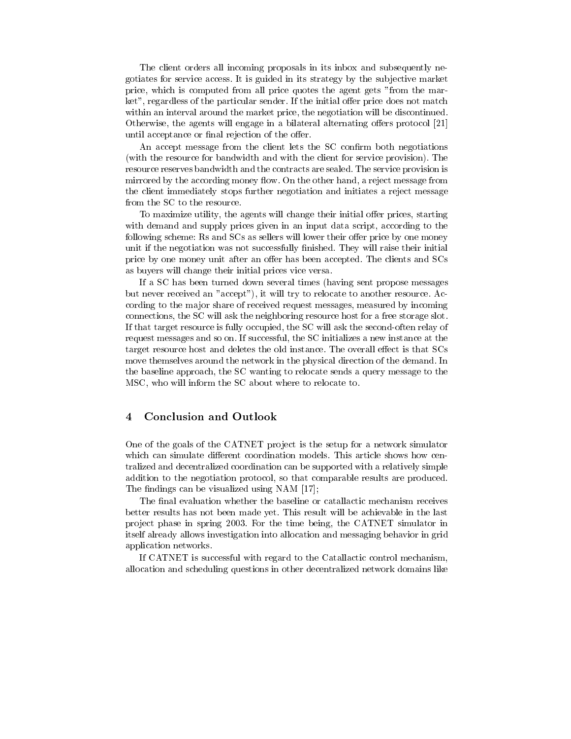The client orders all incoming proposals in its inbox and subsequently ne gotiates for service access It is guided in its strategy by the sub jective market price, which is computed from all price quotes the agent gets "from the market", regardless of the particular sender. If the initial offer price does not match within an interval around the market price, the negotiation will be discontinued. Otherwise, the agents will engage in a bilateral alternating offers protocol  $[21]$ until acceptance or final rejection of the offer.

An accept message from the client lets the SC confirm both negotiations (with the resource for bandwidth and with the client for service provision). The resource reserves bandwidth and the contracts are sealed. The service provision is mirrored by the according money flow. On the other hand, a reject message from the client immediately stops further negotiation and initiates a reject message from the SC to the resource

To maximize utility, the agents will change their initial offer prices, starting with demand and supply prices given in an input data script, according to the following scheme: Rs and SCs as sellers will lower their offer price by one money unit if the negotiation was not successfully finished. They will raise their initial price by one money unit after an offer has been accepted. The clients and SCs as buyers will change their initial prices vice versa

If a SC has been turned down several times (having sent propose messages but never received an "accept"), it will try to relocate to another resource. According to the major share of received request messages, measured by incoming connections, the SC will ask the neighboring resource host for a free storage slot. If that target resource is fully occupied, the  $SC$  will ask the second-often relay of request messages and so on. If successful, the SC initializes a new instance at the target resource host and deletes the old instance. The overall effect is that SCs move themselves around the network in the physical direction of the demand. In the baseline approach the SC wanting to relocate sends a query message to the MSC, who will inform the SC about where to relocate to.

One of the goals of the CATNET project is the setup for a network simulator which can simulate different coordination models. This article shows how centralized and decentralized coordination can be supported with a relatively simple addition to the negotiation protocol, so that comparable results are produced. The findings can be visualized using NAM  $[17]$ ; the contract of the contract of the contract of the contract of the contract of

The final evaluation whether the baseline or catallactic mechanism receives better results has not been made yet This result will be achievable in the last project phase in spring 2003. For the time being, the CATNET simulator in itself already allows investigation into allocation and messaging behavior in grid application networks

If CATNET is successful with regard to the Catallactic control mechanism allocation and scheduling questions in other decentralized network domains like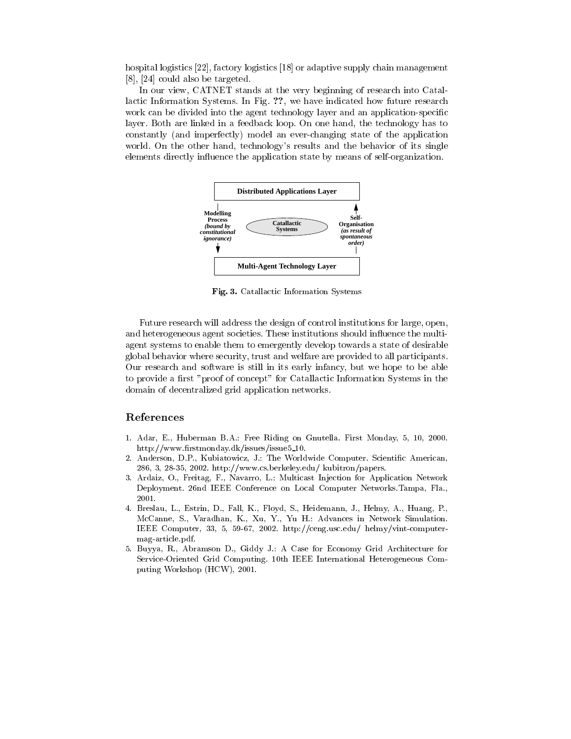hospital logistics factory logistics or adaptive supply chain management  $\mathbf{r}$  also be targeted also be targeted also be targeted as  $\mathbf{r}$ 

In our view, CATNET stands at the very beginning of research into Catallactic Information Systems. In Fig.  $\mathsf{??}$ , we have indicated how future research work can be divided into the agent technology layer and an application-specific layer. Both are linked in a feedback loop. On one hand, the technology has to constantly (and imperfectly) model an ever-changing state of the application world. On the other hand, technology's results and the behavior of its single elements directly influence the application state by means of self-organization.



Fig. 3. Catallactic Information Systems

Future research will address the design of control institutions for large, open, and heterogeneous agent societies. These institutions should influence the multiagent systems to enable them to emergently develop towards a state of desirable global behavior where security trust and welfare are provided to all participants Our research and software is still in its early infancy but we hope to be able to provide a first "proof of concept" for Catallactic Information Systems in the domain of decentralized grid application networks

### References

- Adar E- Huberman B-A- Free Riding on Gnutella- First Monday http www- rstmonday-dk issues issue -
- Anderson D-P- Kubiatowicz J- The Worldwide Computer- Scienti c American edus, et es set en en en en troncomment and an energy-comment and papers-
- , are navarro L- in the same of the interest in the second complete the sample contract the second complete that Deployment- nd IEEE Conference on Local Computer Networks-Tampa Fla- 2001.
- Breslau L- Estrin D- Fall K- Floyd S- Heidemann J- Helmy A- Huang P-McCanne S- Varadhan K- Xu Y- Yu H- Advances in Network Simulation-IEEE Computer  - http ceng-usc-edu helmy vintcomputer magarticle-pdf-
- Buyya R- Abramson D- Giddy J- A Case for Economy Grid Architecture for service Oriented Grid Computing-International Heterogeneous Computingputing Workshop (HCW), 2001.